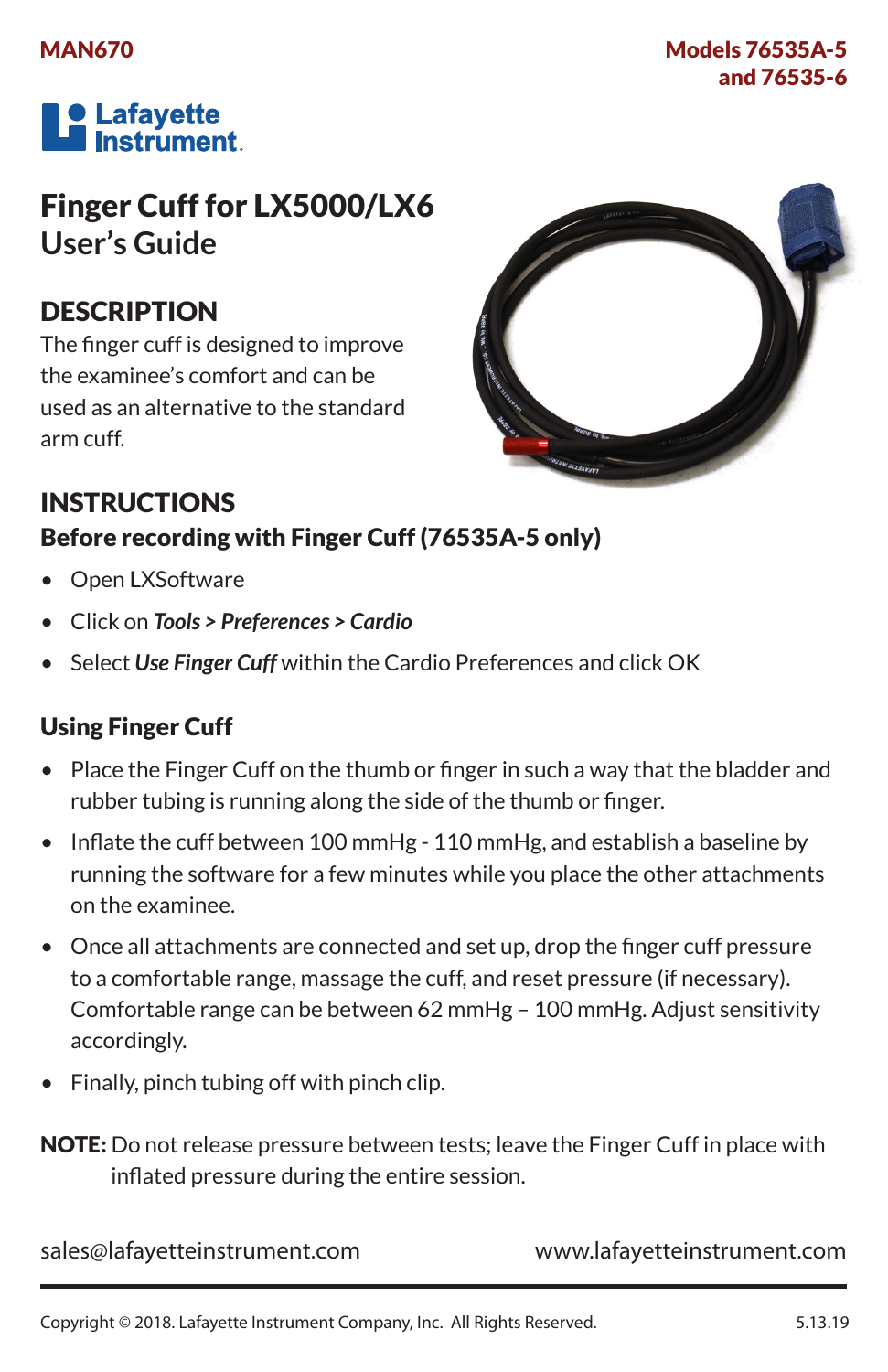### MAN670

### Models 76535A-5 and 76535-6



# Finger Cuff for LX5000/LX6 **User's Guide**

## **DESCRIPTION**

The finger cuff is designed to improve the examinee's comfort and can be used as an alternative to the standard arm cuff.



## INSTRUCTIONS Before recording with Finger Cuff (76535A-5 only)

- Open LXSoftware
- • Click on *Tools > Preferences > Cardio*
- Select Use Finger Cuff within the Cardio Preferences and click OK

### Using Finger Cuff

- Place the Finger Cuff on the thumb or finger in such a way that the bladder and rubber tubing is running along the side of the thumb or finger.
- Inflate the cuff between 100 mmHg 110 mmHg, and establish a baseline by running the software for a few minutes while you place the other attachments on the examinee.
- Once all attachments are connected and set up, drop the finger cuff pressure to a comfortable range, massage the cuff, and reset pressure (if necessary). Comfortable range can be between 62 mmHg – 100 mmHg. Adjust sensitivity accordingly.
- Finally, pinch tubing off with pinch clip.

NOTE: Do not release pressure between tests; leave the Finger Cuff in place with inflated pressure during the entire session.

sales@lafayetteinstrument.com www.lafayetteinstrument.com